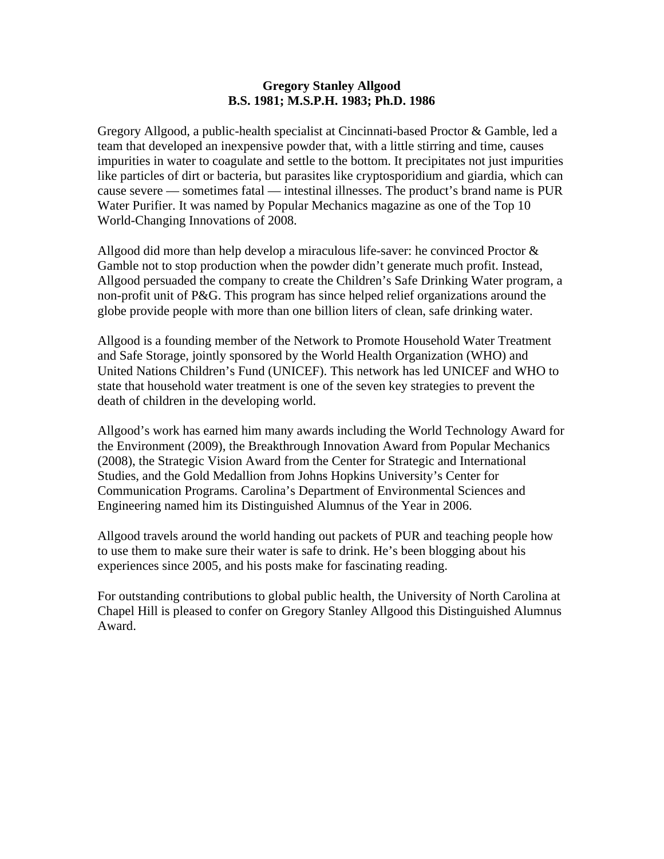## **Gregory Stanley Allgood B.S. 1981; M.S.P.H. 1983; Ph.D. 1986**

Gregory Allgood, a public-health specialist at Cincinnati-based Proctor & Gamble, led a team that developed an inexpensive powder that, with a little stirring and time, causes impurities in water to coagulate and settle to the bottom. It precipitates not just impurities like particles of dirt or bacteria, but parasites like cryptosporidium and giardia, which can cause severe — sometimes fatal — intestinal illnesses. The product's brand name is PUR Water Purifier. It was named by Popular Mechanics magazine as one of the Top 10 World-Changing Innovations of 2008.

Allgood did more than help develop a miraculous life-saver: he convinced Proctor & Gamble not to stop production when the powder didn't generate much profit. Instead, Allgood persuaded the company to create the Children's Safe Drinking Water program, a non-profit unit of P&G. This program has since helped relief organizations around the globe provide people with more than one billion liters of clean, safe drinking water.

Allgood is a founding member of the Network to Promote Household Water Treatment and Safe Storage, jointly sponsored by the World Health Organization (WHO) and United Nations Children's Fund (UNICEF). This network has led UNICEF and WHO to state that household water treatment is one of the seven key strategies to prevent the death of children in the developing world.

Allgood's work has earned him many awards including the World Technology Award for the Environment (2009), the Breakthrough Innovation Award from Popular Mechanics (2008), the Strategic Vision Award from the Center for Strategic and International Studies, and the Gold Medallion from Johns Hopkins University's Center for Communication Programs. Carolina's Department of Environmental Sciences and Engineering named him its Distinguished Alumnus of the Year in 2006.

Allgood travels around the world handing out packets of PUR and teaching people how to use them to make sure their water is safe to drink. He's been blogging about his experiences since 2005, and his posts make for fascinating reading.

For outstanding contributions to global public health, the University of North Carolina at Chapel Hill is pleased to confer on Gregory Stanley Allgood this Distinguished Alumnus Award.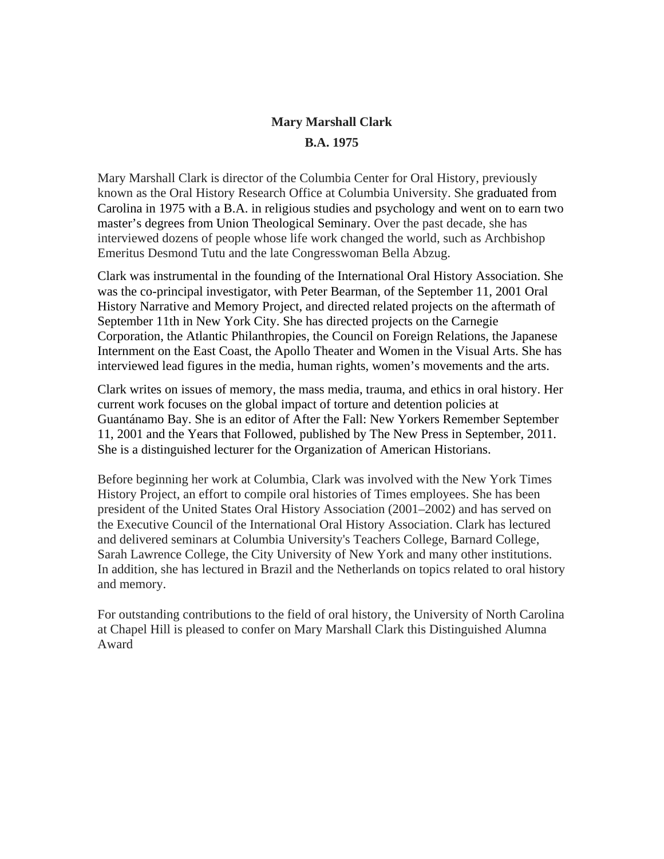## **Mary Marshall Clark B.A. 1975**

Mary Marshall Clark is director of the Columbia Center for Oral History, previously known as the Oral History Research Office at Columbia University. She graduated from Carolina in 1975 with a B.A. in religious studies and psychology and went on to earn two master's degrees from Union Theological Seminary. Over the past decade, she has interviewed dozens of people whose life work changed the world, such as Archbishop Emeritus Desmond Tutu and the late Congresswoman Bella Abzug.

Clark was instrumental in the founding of the International Oral History Association. She was the co-principal investigator, with Peter Bearman, of the September 11, 2001 Oral History Narrative and Memory Project, and directed related projects on the aftermath of September 11th in New York City. She has directed projects on the Carnegie Corporation, the Atlantic Philanthropies, the Council on Foreign Relations, the Japanese Internment on the East Coast, the Apollo Theater and Women in the Visual Arts. She has interviewed lead figures in the media, human rights, women's movements and the arts.

Clark writes on issues of memory, the mass media, trauma, and ethics in oral history. Her current work focuses on the global impact of torture and detention policies at Guantánamo Bay. She is an editor of After the Fall: New Yorkers Remember September 11, 2001 and the Years that Followed, published by The New Press in September, 2011. She is a distinguished lecturer for the Organization of American Historians.

Before beginning her work at Columbia, Clark was involved with the New York Times History Project, an effort to compile oral histories of Times employees. She has been president of the United States Oral History Association (2001–2002) and has served on the Executive Council of the International Oral History Association. Clark has lectured and delivered seminars at Columbia University's Teachers College, Barnard College, Sarah Lawrence College, the City University of New York and many other institutions. In addition, she has lectured in Brazil and the Netherlands on topics related to oral history and memory.

For outstanding contributions to the field of oral history, the University of North Carolina at Chapel Hill is pleased to confer on Mary Marshall Clark this Distinguished Alumna Award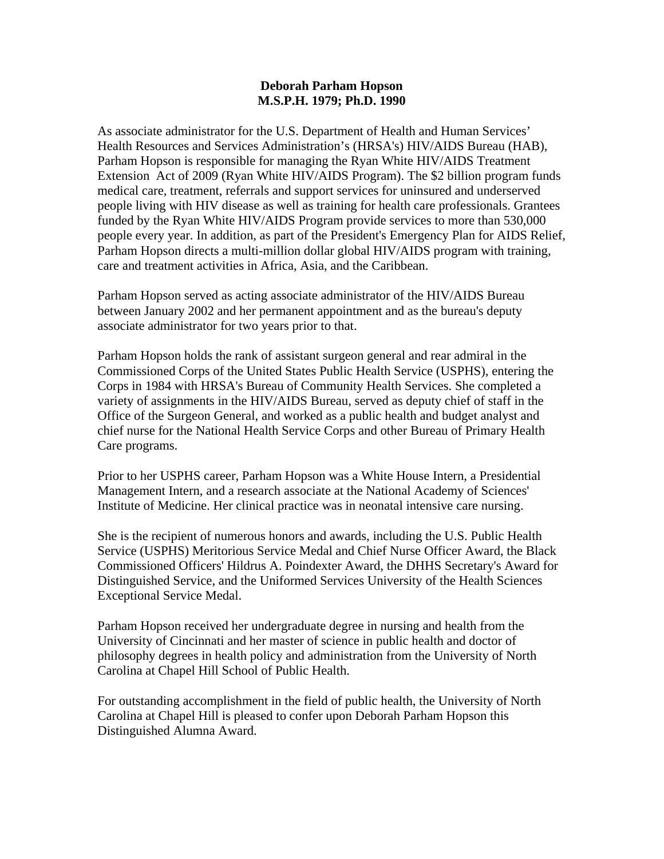## **Deborah Parham Hopson M.S.P.H. 1979; Ph.D. 1990**

As associate administrator for the U.S. Department of Health and Human Services' Health Resources and Services Administration's (HRSA's) HIV/AIDS Bureau (HAB), Parham Hopson is responsible for managing the Ryan White HIV/AIDS Treatment Extension Act of 2009 (Ryan White HIV/AIDS Program). The \$2 billion program funds medical care, treatment, referrals and support services for uninsured and underserved people living with HIV disease as well as training for health care professionals. Grantees funded by the Ryan White HIV/AIDS Program provide services to more than 530,000 people every year. In addition, as part of the President's Emergency Plan for AIDS Relief, Parham Hopson directs a multi-million dollar global HIV/AIDS program with training, care and treatment activities in Africa, Asia, and the Caribbean.

Parham Hopson served as acting associate administrator of the HIV/AIDS Bureau between January 2002 and her permanent appointment and as the bureau's deputy associate administrator for two years prior to that.

Parham Hopson holds the rank of assistant surgeon general and rear admiral in the Commissioned Corps of the United States Public Health Service (USPHS), entering the Corps in 1984 with HRSA's Bureau of Community Health Services. She completed a variety of assignments in the HIV/AIDS Bureau, served as deputy chief of staff in the Office of the Surgeon General, and worked as a public health and budget analyst and chief nurse for the National Health Service Corps and other Bureau of Primary Health Care programs.

Prior to her USPHS career, Parham Hopson was a White House Intern, a Presidential Management Intern, and a research associate at the National Academy of Sciences' Institute of Medicine. Her clinical practice was in neonatal intensive care nursing.

She is the recipient of numerous honors and awards, including the U.S. Public Health Service (USPHS) Meritorious Service Medal and Chief Nurse Officer Award, the Black Commissioned Officers' Hildrus A. Poindexter Award, the DHHS Secretary's Award for Distinguished Service, and the Uniformed Services University of the Health Sciences Exceptional Service Medal.

Parham Hopson received her undergraduate degree in nursing and health from the University of Cincinnati and her master of science in public health and doctor of philosophy degrees in health policy and administration from the University of North Carolina at Chapel Hill School of Public Health.

For outstanding accomplishment in the field of public health, the University of North Carolina at Chapel Hill is pleased to confer upon Deborah Parham Hopson this Distinguished Alumna Award.